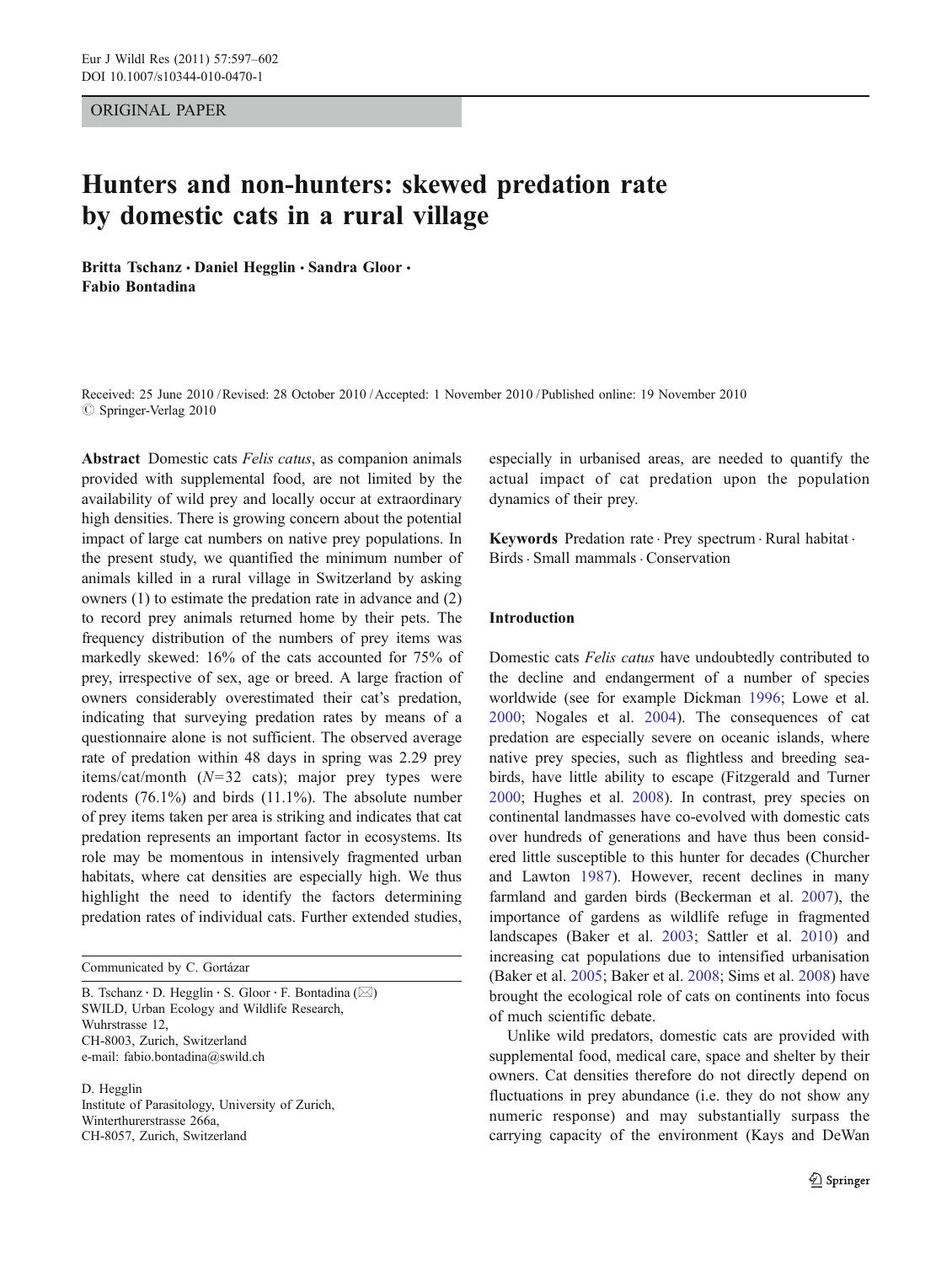#### ORIGINAL PAPER

# Hunters and non-hunters: skewed predation rate by domestic cats in a rural village

Britta Tschanz · Daniel Hegglin · Sandra Gloor · Fabio Bontadina

Received: 25 June 2010 /Revised: 28 October 2010 /Accepted: 1 November 2010 / Published online: 19 November 2010  $\oslash$  Springer-Verlag 2010

Abstract Domestic cats Felis catus, as companion animals provided with supplemental food, are not limited by the availability of wild prey and locally occur at extraordinary high densities. There is growing concern about the potential impact of large cat numbers on native prey populations. In the present study, we quantified the minimum number of animals killed in a rural village in Switzerland by asking owners (1) to estimate the predation rate in advance and (2) to record prey animals returned home by their pets. The frequency distribution of the numbers of prey items was markedly skewed: 16% of the cats accounted for 75% of prey, irrespective of sex, age or breed. A large fraction of owners considerably overestimated their cat's predation, indicating that surveying predation rates by means of a questionnaire alone is not sufficient. The observed average rate of predation within 48 days in spring was 2.29 prey items/cat/month  $(N=32 \text{ cats})$ ; major prey types were rodents (76.1%) and birds (11.1%). The absolute number of prey items taken per area is striking and indicates that cat predation represents an important factor in ecosystems. Its role may be momentous in intensively fragmented urban habitats, where cat densities are especially high. We thus highlight the need to identify the factors determining predation rates of individual cats. Further extended studies,

B. Tschanz · D. Hegglin · S. Gloor · F. Bontadina ( $\boxtimes$ ) SWILD, Urban Ecology and Wildlife Research, Wuhrstrasse 12, CH-8003, Zurich, Switzerland e-mail: fabio.bontadina@swild.ch

D. Hegglin Institute of Parasitology, University of Zurich, Winterthurerstrasse 266a, CH-8057, Zurich, Switzerland

especially in urbanised areas, are needed to quantify the actual impact of cat predation upon the population dynamics of their prey.

Keywords Predation rate . Prey spectrum . Rural habitat . Birds. Small mammals. Conservation

# Introduction

Domestic cats Felis catus have undoubtedly contributed to the decline and endangerment of a number of species worldwide (see for example Dickman [1996;](#page-5-0) Lowe et al. [2000](#page-5-0); Nogales et al. [2004](#page-5-0)). The consequences of cat predation are especially severe on oceanic islands, where native prey species, such as flightless and breeding seabirds, have little ability to escape (Fitzgerald and Turner [2000](#page-5-0); Hughes et al. [2008\)](#page-5-0). In contrast, prey species on continental landmasses have co-evolved with domestic cats over hundreds of generations and have thus been considered little susceptible to this hunter for decades (Churcher and Lawton [1987](#page-5-0)). However, recent declines in many farmland and garden birds (Beckerman et al. [2007\)](#page-5-0), the importance of gardens as wildlife refuge in fragmented landscapes (Baker et al. [2003](#page-5-0); Sattler et al. [2010](#page-5-0)) and increasing cat populations due to intensified urbanisation (Baker et al. [2005](#page-5-0); Baker et al. [2008](#page-5-0); Sims et al. [2008\)](#page-5-0) have brought the ecological role of cats on continents into focus of much scientific debate.

Unlike wild predators, domestic cats are provided with supplemental food, medical care, space and shelter by their owners. Cat densities therefore do not directly depend on fluctuations in prey abundance (i.e. they do not show any numeric response) and may substantially surpass the carrying capacity of the environment (Kays and DeWan

Communicated by C. Gortázar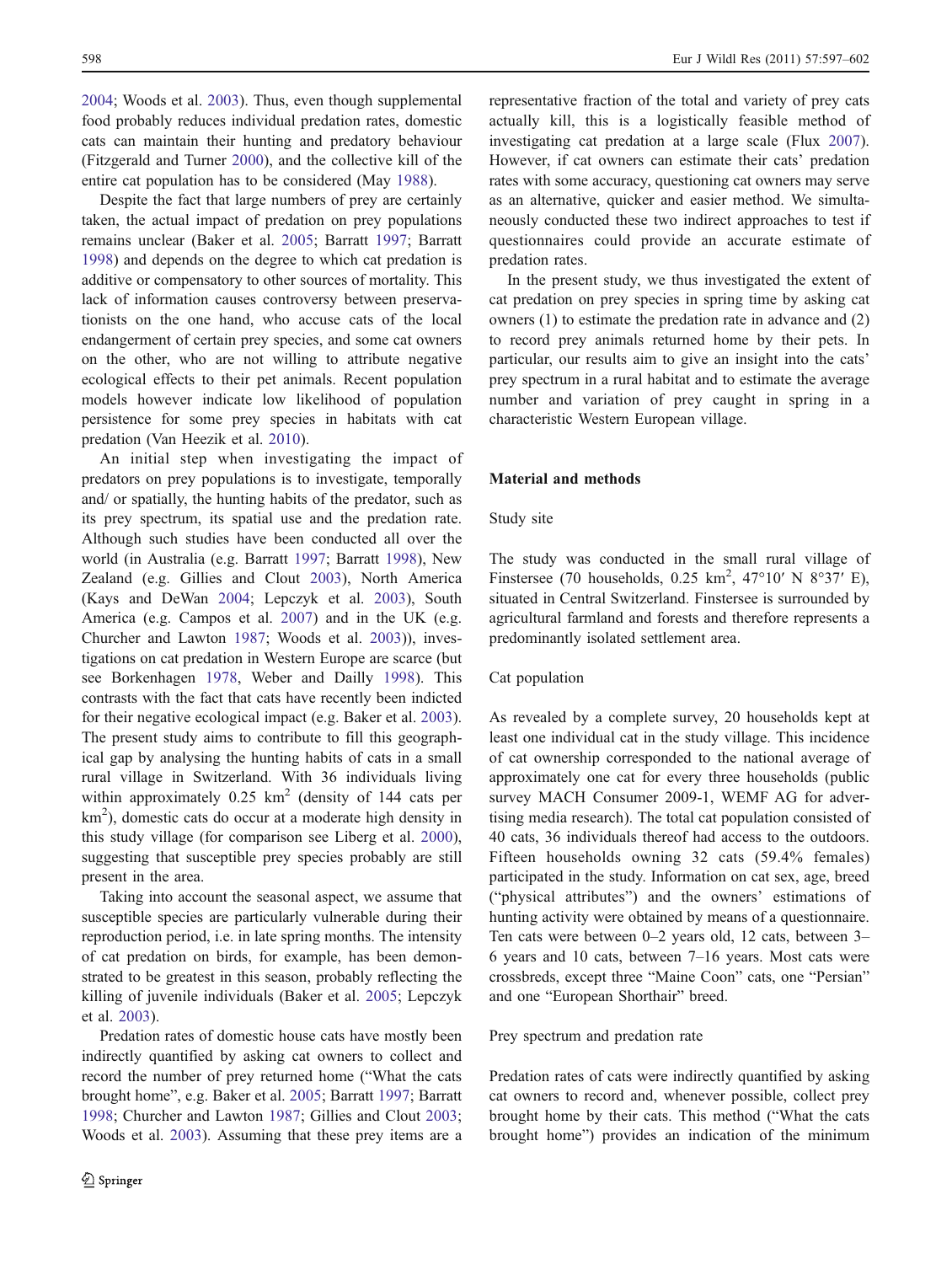[2004;](#page-5-0) Woods et al. [2003\)](#page-5-0). Thus, even though supplemental food probably reduces individual predation rates, domestic cats can maintain their hunting and predatory behaviour (Fitzgerald and Turner [2000](#page-5-0)), and the collective kill of the entire cat population has to be considered (May [1988](#page-5-0)).

Despite the fact that large numbers of prey are certainly taken, the actual impact of predation on prey populations remains unclear (Baker et al. [2005](#page-5-0); Barratt [1997;](#page-5-0) Barratt [1998\)](#page-5-0) and depends on the degree to which cat predation is additive or compensatory to other sources of mortality. This lack of information causes controversy between preservationists on the one hand, who accuse cats of the local endangerment of certain prey species, and some cat owners on the other, who are not willing to attribute negative ecological effects to their pet animals. Recent population models however indicate low likelihood of population persistence for some prey species in habitats with cat predation (Van Heezik et al. [2010](#page-5-0)).

An initial step when investigating the impact of predators on prey populations is to investigate, temporally and/ or spatially, the hunting habits of the predator, such as its prey spectrum, its spatial use and the predation rate. Although such studies have been conducted all over the world (in Australia (e.g. Barratt [1997;](#page-5-0) Barratt [1998](#page-5-0)), New Zealand (e.g. Gillies and Clout [2003](#page-5-0)), North America (Kays and DeWan [2004;](#page-5-0) Lepczyk et al. [2003](#page-5-0)), South America (e.g. Campos et al. [2007\)](#page-5-0) and in the UK (e.g. Churcher and Lawton [1987](#page-5-0); Woods et al. [2003](#page-5-0))), investigations on cat predation in Western Europe are scarce (but see Borkenhagen [1978,](#page-5-0) Weber and Dailly [1998\)](#page-5-0). This contrasts with the fact that cats have recently been indicted for their negative ecological impact (e.g. Baker et al. [2003](#page-5-0)). The present study aims to contribute to fill this geographical gap by analysing the hunting habits of cats in a small rural village in Switzerland. With 36 individuals living within approximately  $0.25 \text{ km}^2$  (density of 144 cats per  $km<sup>2</sup>$ ), domestic cats do occur at a moderate high density in this study village (for comparison see Liberg et al. [2000](#page-5-0)), suggesting that susceptible prey species probably are still present in the area.

Taking into account the seasonal aspect, we assume that susceptible species are particularly vulnerable during their reproduction period, i.e. in late spring months. The intensity of cat predation on birds, for example, has been demonstrated to be greatest in this season, probably reflecting the killing of juvenile individuals (Baker et al. [2005;](#page-5-0) Lepczyk et al. [2003](#page-5-0)).

Predation rates of domestic house cats have mostly been indirectly quantified by asking cat owners to collect and record the number of prey returned home ("What the cats brought home", e.g. Baker et al. [2005](#page-5-0); Barratt [1997;](#page-5-0) Barratt [1998;](#page-5-0) Churcher and Lawton [1987](#page-5-0); Gillies and Clout [2003](#page-5-0); Woods et al. [2003](#page-5-0)). Assuming that these prey items are a representative fraction of the total and variety of prey cats actually kill, this is a logistically feasible method of investigating cat predation at a large scale (Flux [2007\)](#page-5-0). However, if cat owners can estimate their cats' predation rates with some accuracy, questioning cat owners may serve as an alternative, quicker and easier method. We simultaneously conducted these two indirect approaches to test if questionnaires could provide an accurate estimate of predation rates.

In the present study, we thus investigated the extent of cat predation on prey species in spring time by asking cat owners (1) to estimate the predation rate in advance and (2) to record prey animals returned home by their pets. In particular, our results aim to give an insight into the cats' prey spectrum in a rural habitat and to estimate the average number and variation of prey caught in spring in a characteristic Western European village.

#### Material and methods

#### Study site

The study was conducted in the small rural village of Finstersee (70 households, 0.25 km<sup>2</sup>, 47°10′ N 8°37′ E), situated in Central Switzerland. Finstersee is surrounded by agricultural farmland and forests and therefore represents a predominantly isolated settlement area.

# Cat population

As revealed by a complete survey, 20 households kept at least one individual cat in the study village. This incidence of cat ownership corresponded to the national average of approximately one cat for every three households (public survey MACH Consumer 2009-1, WEMF AG for advertising media research). The total cat population consisted of 40 cats, 36 individuals thereof had access to the outdoors. Fifteen households owning 32 cats (59.4% females) participated in the study. Information on cat sex, age, breed ("physical attributes") and the owners' estimations of hunting activity were obtained by means of a questionnaire. Ten cats were between 0–2 years old, 12 cats, between 3– 6 years and 10 cats, between 7–16 years. Most cats were crossbreds, except three "Maine Coon" cats, one "Persian" and one "European Shorthair" breed.

# Prey spectrum and predation rate

Predation rates of cats were indirectly quantified by asking cat owners to record and, whenever possible, collect prey brought home by their cats. This method ("What the cats brought home") provides an indication of the minimum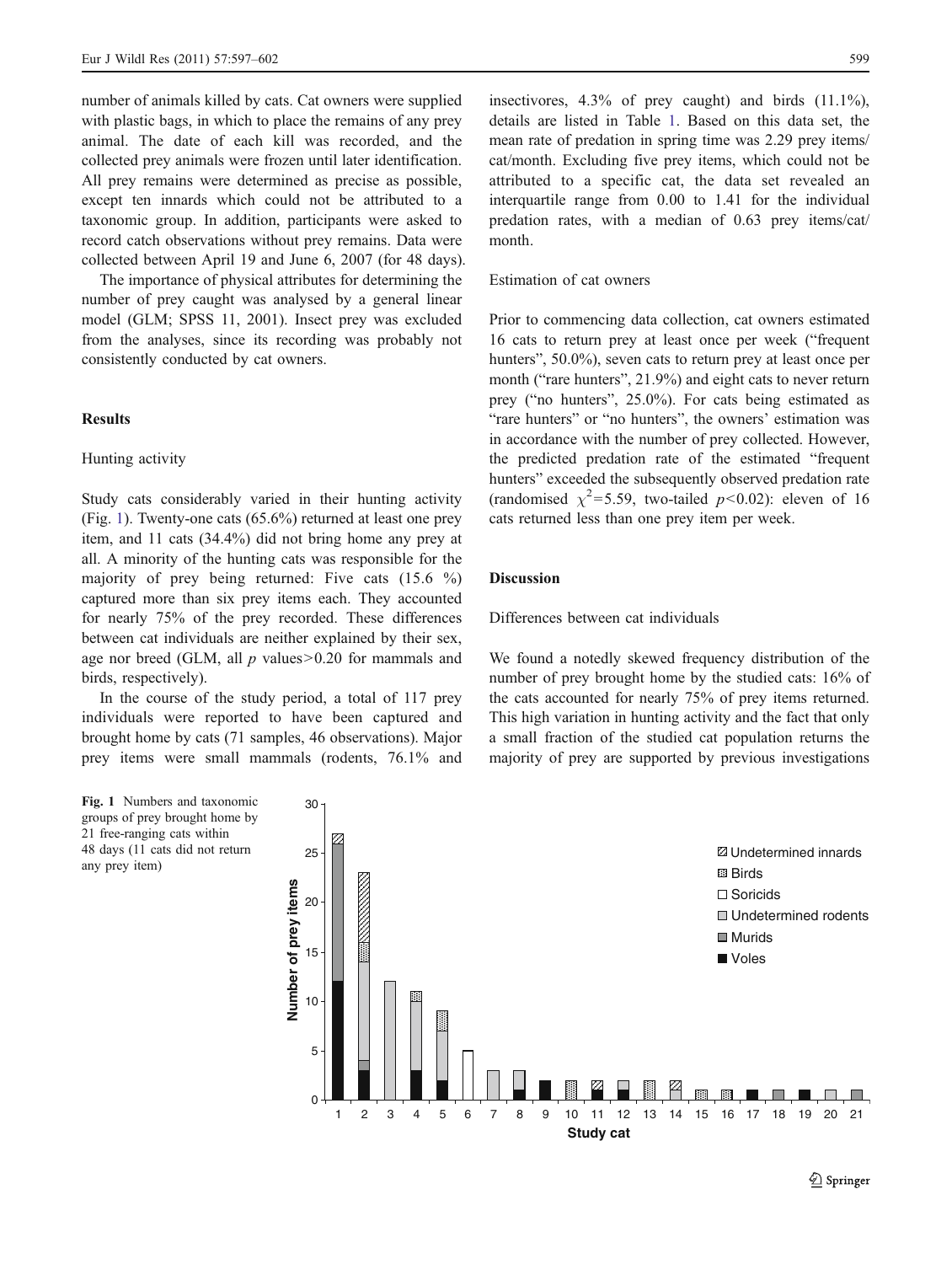number of animals killed by cats. Cat owners were supplied with plastic bags, in which to place the remains of any prey animal. The date of each kill was recorded, and the collected prey animals were frozen until later identification. All prey remains were determined as precise as possible, except ten innards which could not be attributed to a taxonomic group. In addition, participants were asked to record catch observations without prey remains. Data were collected between April 19 and June 6, 2007 (for 48 days).

The importance of physical attributes for determining the number of prey caught was analysed by a general linear model (GLM; SPSS 11, 2001). Insect prey was excluded from the analyses, since its recording was probably not consistently conducted by cat owners.

# **Results**

# Hunting activity

Study cats considerably varied in their hunting activity (Fig. 1). Twenty-one cats (65.6%) returned at least one prey item, and 11 cats (34.4%) did not bring home any prey at all. A minority of the hunting cats was responsible for the majority of prey being returned: Five cats (15.6 %) captured more than six prey items each. They accounted for nearly 75% of the prey recorded. These differences between cat individuals are neither explained by their sex, age nor breed (GLM, all  $p$  values $> 0.20$  for mammals and birds, respectively).

In the course of the study period, a total of 117 prey individuals were reported to have been captured and brought home by cats (71 samples, 46 observations). Major prey items were small mammals (rodents, 76.1% and

Fig. 1 Numbers and taxonomic groups of prey brought home by 21 free-ranging cats within 48 days (11 cats did not return any prey item)

insectivores,  $4.3\%$  of prey caught) and birds  $(11.1\%)$ . details are listed in Table [1](#page-3-0). Based on this data set, the mean rate of predation in spring time was 2.29 prey items/ cat/month. Excluding five prey items, which could not be attributed to a specific cat, the data set revealed an interquartile range from 0.00 to 1.41 for the individual predation rates, with a median of 0.63 prey items/cat/ month.

### Estimation of cat owners

Prior to commencing data collection, cat owners estimated 16 cats to return prey at least once per week ("frequent hunters", 50.0%), seven cats to return prey at least once per month ("rare hunters", 21.9%) and eight cats to never return prey ("no hunters", 25.0%). For cats being estimated as "rare hunters" or "no hunters", the owners' estimation was in accordance with the number of prey collected. However, the predicted predation rate of the estimated "frequent hunters" exceeded the subsequently observed predation rate (randomised  $\chi^2$ =5.59, two-tailed p<0.02): eleven of 16 cats returned less than one prey item per week.

### **Discussion**

Differences between cat individuals

We found a notedly skewed frequency distribution of the number of prey brought home by the studied cats: 16% of the cats accounted for nearly 75% of prey items returned. This high variation in hunting activity and the fact that only a small fraction of the studied cat population returns the majority of prey are supported by previous investigations

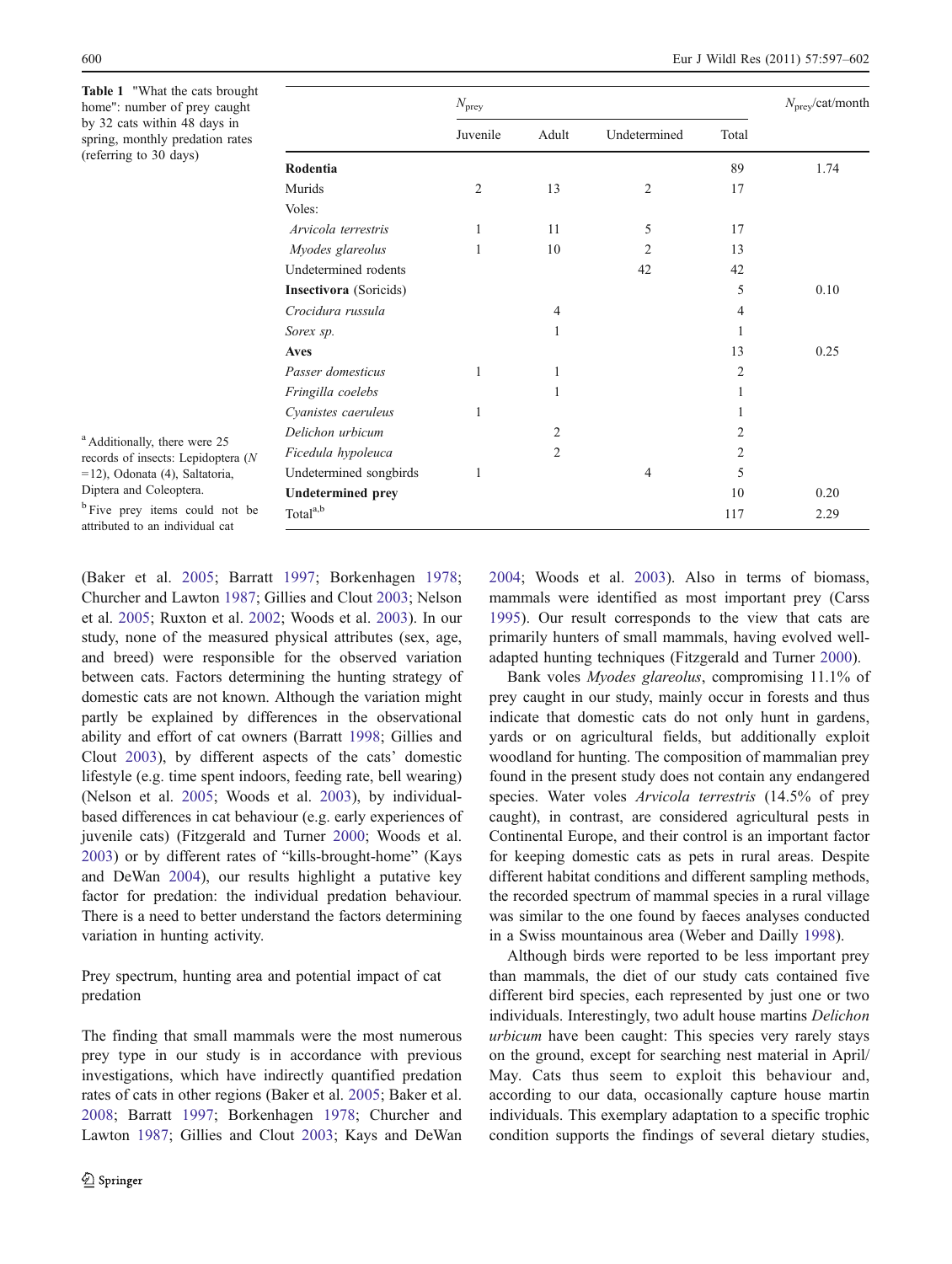<span id="page-3-0"></span>Table 1 "What the cats brought home": number of prey caught by 32 cats within 48 days in spring, monthly predation rates (referring to 30 days)

|                          | $N_{\text{prey}}$ |                |                |                | $N_{\text{prey}}$ /cat/month |
|--------------------------|-------------------|----------------|----------------|----------------|------------------------------|
|                          | Juvenile          | Adult          | Undetermined   | Total          |                              |
| Rodentia                 |                   |                |                | 89             | 1.74                         |
| Murids                   | $\overline{2}$    | 13             | $\overline{2}$ | 17             |                              |
| Voles:                   |                   |                |                |                |                              |
| Arvicola terrestris      | 1                 | 11             | 5              | 17             |                              |
| Myodes glareolus         | 1                 | 10             | $\overline{2}$ | 13             |                              |
| Undetermined rodents     |                   |                | 42             | 42             |                              |
| Insectivora (Soricids)   |                   |                |                | 5              | 0.10                         |
| Crocidura russula        |                   | $\overline{4}$ |                | 4              |                              |
| Sorex sp.                |                   | 1              |                | 1              |                              |
| <b>Aves</b>              |                   |                |                | 13             | 0.25                         |
| Passer domesticus        | 1                 | 1              |                | $\overline{2}$ |                              |
| Fringilla coelebs        |                   | 1              |                | 1              |                              |
| Cyanistes caeruleus      | 1                 |                |                | 1              |                              |
| Delichon urbicum         |                   | $\overline{2}$ |                | 2              |                              |
| Ficedula hypoleuca       |                   | 2              |                | $\overline{2}$ |                              |
| Undetermined songbirds   | 1                 |                | $\overline{4}$ | 5              |                              |
| <b>Undetermined prey</b> |                   |                |                | 10             | 0.20                         |
| Total <sup>a,b</sup>     |                   |                |                | 117            | 2.29                         |

<sup>a</sup> Additionally, there were 25 records of insects: Lepidoptera (N =12), Odonata (4), Saltatoria, Diptera and Coleoptera.

<sup>b</sup> Five prey items could not be attributed to an individual cat

(Baker et al. [2005](#page-5-0); Barratt [1997](#page-5-0); Borkenhagen [1978](#page-5-0); Churcher and Lawton [1987](#page-5-0); Gillies and Clout [2003;](#page-5-0) Nelson et al. [2005](#page-5-0); Ruxton et al. [2002;](#page-5-0) Woods et al. [2003\)](#page-5-0). In our study, none of the measured physical attributes (sex, age, and breed) were responsible for the observed variation between cats. Factors determining the hunting strategy of domestic cats are not known. Although the variation might partly be explained by differences in the observational ability and effort of cat owners (Barratt [1998](#page-5-0); Gillies and Clout [2003](#page-5-0)), by different aspects of the cats' domestic lifestyle (e.g. time spent indoors, feeding rate, bell wearing) (Nelson et al. [2005;](#page-5-0) Woods et al. [2003](#page-5-0)), by individualbased differences in cat behaviour (e.g. early experiences of juvenile cats) (Fitzgerald and Turner [2000](#page-5-0); Woods et al. [2003\)](#page-5-0) or by different rates of "kills-brought-home" (Kays and DeWan [2004\)](#page-5-0), our results highlight a putative key factor for predation: the individual predation behaviour. There is a need to better understand the factors determining variation in hunting activity.

Prey spectrum, hunting area and potential impact of cat predation

The finding that small mammals were the most numerous prey type in our study is in accordance with previous investigations, which have indirectly quantified predation rates of cats in other regions (Baker et al. [2005](#page-5-0); Baker et al. [2008](#page-5-0); Barratt [1997;](#page-5-0) Borkenhagen [1978](#page-5-0); Churcher and Lawton [1987;](#page-5-0) Gillies and Clout [2003;](#page-5-0) Kays and DeWan [2004](#page-5-0); Woods et al. [2003\)](#page-5-0). Also in terms of biomass, mammals were identified as most important prey (Carss [1995](#page-5-0)). Our result corresponds to the view that cats are primarily hunters of small mammals, having evolved welladapted hunting techniques (Fitzgerald and Turner [2000](#page-5-0)).

Bank voles Myodes glareolus, compromising 11.1% of prey caught in our study, mainly occur in forests and thus indicate that domestic cats do not only hunt in gardens, yards or on agricultural fields, but additionally exploit woodland for hunting. The composition of mammalian prey found in the present study does not contain any endangered species. Water voles Arvicola terrestris (14.5% of prey caught), in contrast, are considered agricultural pests in Continental Europe, and their control is an important factor for keeping domestic cats as pets in rural areas. Despite different habitat conditions and different sampling methods, the recorded spectrum of mammal species in a rural village was similar to the one found by faeces analyses conducted in a Swiss mountainous area (Weber and Dailly [1998\)](#page-5-0).

Although birds were reported to be less important prey than mammals, the diet of our study cats contained five different bird species, each represented by just one or two individuals. Interestingly, two adult house martins Delichon urbicum have been caught: This species very rarely stays on the ground, except for searching nest material in April/ May. Cats thus seem to exploit this behaviour and, according to our data, occasionally capture house martin individuals. This exemplary adaptation to a specific trophic condition supports the findings of several dietary studies,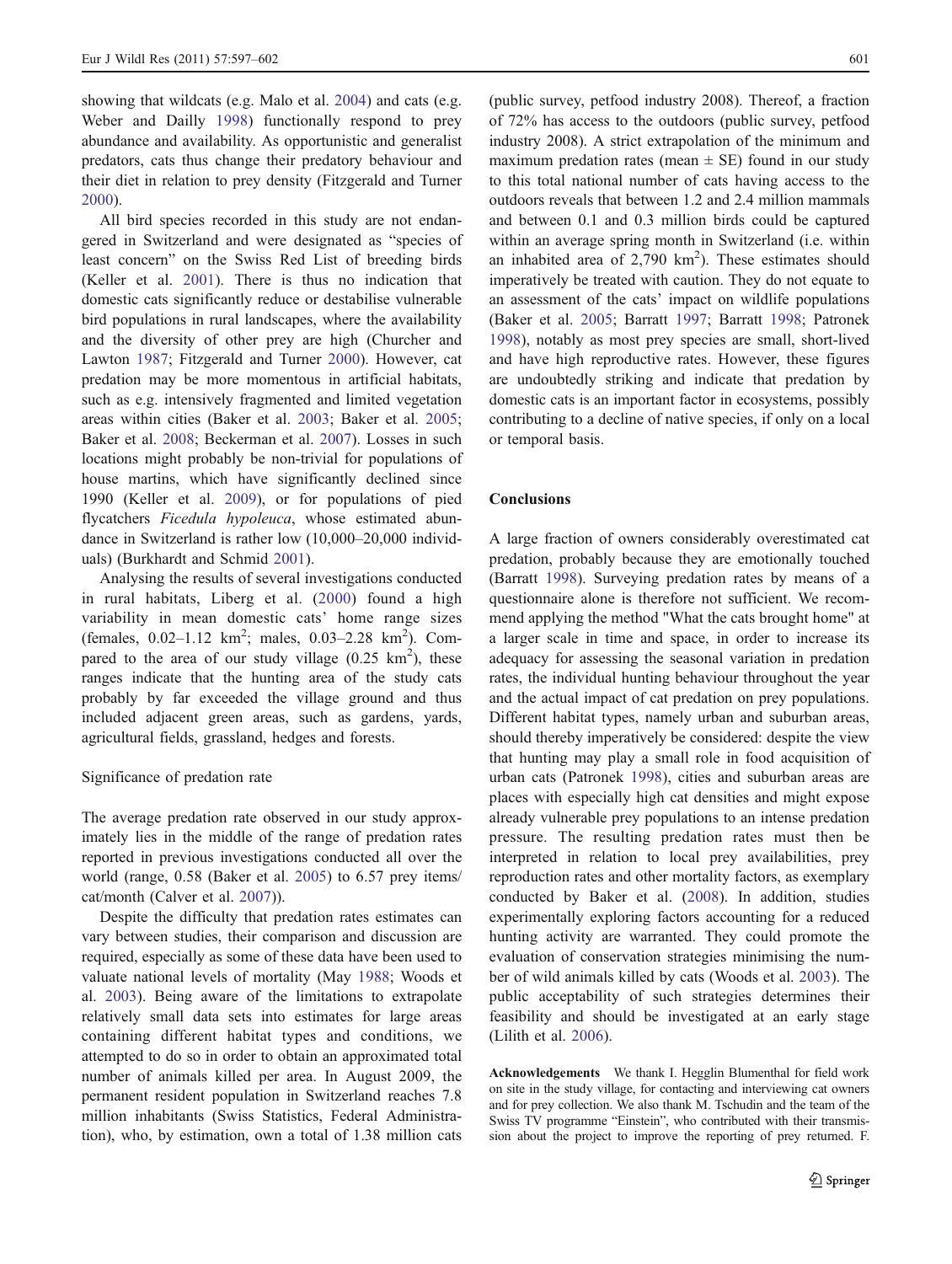showing that wildcats (e.g. Malo et al. [2004](#page-5-0)) and cats (e.g. Weber and Dailly [1998](#page-5-0)) functionally respond to prey abundance and availability. As opportunistic and generalist predators, cats thus change their predatory behaviour and their diet in relation to prey density (Fitzgerald and Turner [2000\)](#page-5-0).

All bird species recorded in this study are not endangered in Switzerland and were designated as "species of least concern" on the Swiss Red List of breeding birds (Keller et al. [2001\)](#page-5-0). There is thus no indication that domestic cats significantly reduce or destabilise vulnerable bird populations in rural landscapes, where the availability and the diversity of other prey are high (Churcher and Lawton [1987](#page-5-0); Fitzgerald and Turner [2000](#page-5-0)). However, cat predation may be more momentous in artificial habitats, such as e.g. intensively fragmented and limited vegetation areas within cities (Baker et al. [2003](#page-5-0); Baker et al. [2005](#page-5-0); Baker et al. [2008;](#page-5-0) Beckerman et al. [2007](#page-5-0)). Losses in such locations might probably be non-trivial for populations of house martins, which have significantly declined since 1990 (Keller et al. [2009\)](#page-5-0), or for populations of pied flycatchers Ficedula hypoleuca, whose estimated abundance in Switzerland is rather low (10,000–20,000 individuals) (Burkhardt and Schmid [2001](#page-5-0)).

Analysing the results of several investigations conducted in rural habitats, Liberg et al. [\(2000\)](#page-5-0) found a high variability in mean domestic cats' home range sizes (females,  $0.02-1.12 \text{ km}^2$ ; males,  $0.03-2.28 \text{ km}^2$ ). Compared to the area of our study village  $(0.25 \text{ km}^2)$ , these ranges indicate that the hunting area of the study cats probably by far exceeded the village ground and thus included adjacent green areas, such as gardens, yards, agricultural fields, grassland, hedges and forests.

#### Significance of predation rate

The average predation rate observed in our study approximately lies in the middle of the range of predation rates reported in previous investigations conducted all over the world (range, 0.58 (Baker et al. [2005\)](#page-5-0) to 6.57 prey items/ cat/month (Calver et al. [2007\)](#page-5-0)).

Despite the difficulty that predation rates estimates can vary between studies, their comparison and discussion are required, especially as some of these data have been used to valuate national levels of mortality (May [1988;](#page-5-0) Woods et al. [2003\)](#page-5-0). Being aware of the limitations to extrapolate relatively small data sets into estimates for large areas containing different habitat types and conditions, we attempted to do so in order to obtain an approximated total number of animals killed per area. In August 2009, the permanent resident population in Switzerland reaches 7.8 million inhabitants (Swiss Statistics, Federal Administration), who, by estimation, own a total of 1.38 million cats

(public survey, petfood industry 2008). Thereof, a fraction of 72% has access to the outdoors (public survey, petfood industry 2008). A strict extrapolation of the minimum and maximum predation rates (mean  $\pm$  SE) found in our study to this total national number of cats having access to the outdoors reveals that between 1.2 and 2.4 million mammals and between 0.1 and 0.3 million birds could be captured within an average spring month in Switzerland (i.e. within an inhabited area of  $2,790 \text{ km}^2$ ). These estimates should imperatively be treated with caution. They do not equate to an assessment of the cats' impact on wildlife populations (Baker et al. [2005](#page-5-0); Barratt [1997;](#page-5-0) Barratt [1998;](#page-5-0) Patronek [1998](#page-5-0)), notably as most prey species are small, short-lived and have high reproductive rates. However, these figures are undoubtedly striking and indicate that predation by domestic cats is an important factor in ecosystems, possibly contributing to a decline of native species, if only on a local or temporal basis.

### **Conclusions**

A large fraction of owners considerably overestimated cat predation, probably because they are emotionally touched (Barratt [1998](#page-5-0)). Surveying predation rates by means of a questionnaire alone is therefore not sufficient. We recommend applying the method "What the cats brought home" at a larger scale in time and space, in order to increase its adequacy for assessing the seasonal variation in predation rates, the individual hunting behaviour throughout the year and the actual impact of cat predation on prey populations. Different habitat types, namely urban and suburban areas, should thereby imperatively be considered: despite the view that hunting may play a small role in food acquisition of urban cats (Patronek [1998\)](#page-5-0), cities and suburban areas are places with especially high cat densities and might expose already vulnerable prey populations to an intense predation pressure. The resulting predation rates must then be interpreted in relation to local prey availabilities, prey reproduction rates and other mortality factors, as exemplary conducted by Baker et al. [\(2008](#page-5-0)). In addition, studies experimentally exploring factors accounting for a reduced hunting activity are warranted. They could promote the evaluation of conservation strategies minimising the number of wild animals killed by cats (Woods et al. [2003](#page-5-0)). The public acceptability of such strategies determines their feasibility and should be investigated at an early stage (Lilith et al. [2006\)](#page-5-0).

Acknowledgements We thank I. Hegglin Blumenthal for field work on site in the study village, for contacting and interviewing cat owners and for prey collection. We also thank M. Tschudin and the team of the Swiss TV programme "Einstein", who contributed with their transmission about the project to improve the reporting of prey returned. F.